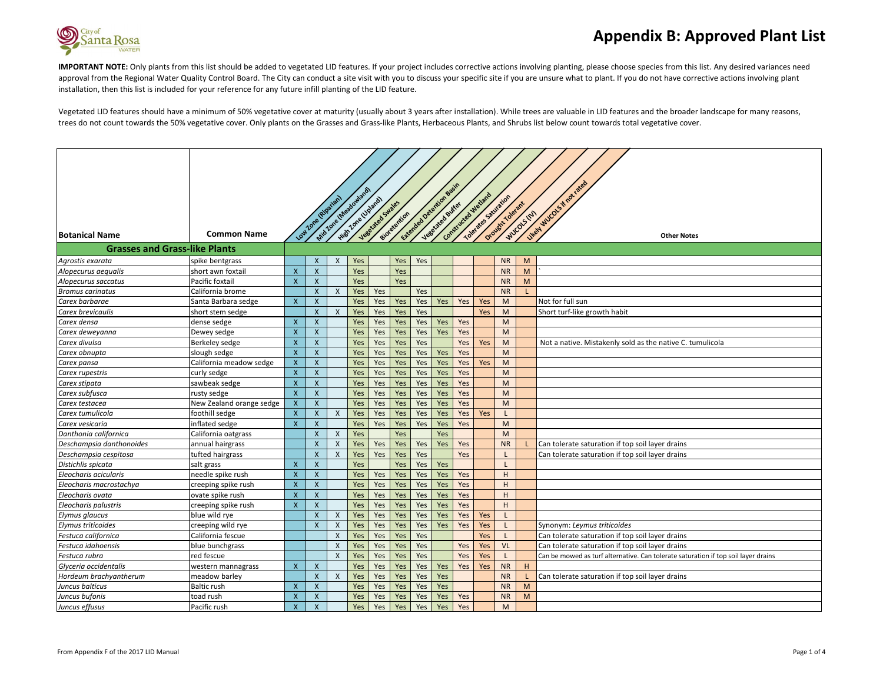

IMPORTANT NOTE: Only plants from this list should be added to vegetated LID features. If your project includes corrective actions involving planting, please choose species from this list. Any desired variances need approval from the Regional Water Quality Control Board. The City can conduct a site visit with you to discuss your specific site if you are unsure what to plant. If you do not have corrective actions involving plant installation, then this list is included for your reference for any future infill planting of the LID feature.

Vegetated LID features should have a minimum of 50% vegetative cover at maturity (usually about 3 years after installation). While trees are valuable in LID features and the broader landscape for many reasons, trees do not count towards the 50% vegetative cover. Only plants on the Grasses and Grass-like Plants, Herbaceous Plants, and Shrubs list below count towards total vegetative cover.

|                                      |                          |                           | Low Zone (supplier)       |                           | Mic Jose diversion with<br>High Lone Upland | Vegetated Swales |              | Cheester December Resident | Jese died eutres | Construction Metand |            | Tolerates Sauraion<br>Orowat Tolerant |   | West W1005 K not rated                                                             |
|--------------------------------------|--------------------------|---------------------------|---------------------------|---------------------------|---------------------------------------------|------------------|--------------|----------------------------|------------------|---------------------|------------|---------------------------------------|---|------------------------------------------------------------------------------------|
| <b>Botanical Name</b>                | <b>Common Name</b>       |                           |                           |                           |                                             |                  | sidretextion |                            |                  |                     |            | woosten                               |   | <b>Other Notes</b>                                                                 |
| <b>Grasses and Grass-like Plants</b> |                          |                           |                           |                           |                                             |                  |              |                            |                  |                     |            |                                       |   |                                                                                    |
| Agrostis exarata                     | spike bentgrass          |                           | $\mathsf{x}$              | $\mathsf{X}$              | Yes                                         |                  | Yes          | Yes                        |                  |                     |            | <b>NR</b>                             | M |                                                                                    |
| Alopecurus aequalis                  | short awn foxtail        | $\boldsymbol{\mathsf{x}}$ | $\boldsymbol{\mathsf{x}}$ |                           | Yes                                         |                  | Yes          |                            |                  |                     |            | <b>NR</b>                             | M |                                                                                    |
| Alopecurus saccatus                  | Pacific foxtail          | $\mathsf{x}$              | $\boldsymbol{\mathsf{X}}$ |                           | Yes                                         |                  | Yes          |                            |                  |                     |            | <b>NR</b>                             | M |                                                                                    |
| <b>Bromus carinatus</b>              | California brome         |                           | $\mathsf{X}$              | $\boldsymbol{\mathsf{X}}$ | Yes                                         | Yes              |              | Yes                        |                  |                     |            | <b>NR</b>                             |   |                                                                                    |
| Carex barbarae                       | Santa Barbara sedge      | $\mathsf{x}$              | $\mathsf{X}$              |                           | Yes                                         | Yes              | Yes          | Yes                        | Yes              | Yes                 | Yes        | M                                     |   | Not for full sun                                                                   |
| Carex brevicaulis                    | short stem sedge         |                           | $\boldsymbol{\mathsf{x}}$ | $\boldsymbol{\mathsf{X}}$ | Yes                                         | Yes              | Yes          | Yes                        |                  |                     | Yes        | M                                     |   | Short turf-like growth habit                                                       |
| Carex densa                          | dense sedge              | $\boldsymbol{\mathsf{X}}$ | $\boldsymbol{X}$          |                           | Yes                                         | Yes              | Yes          | Yes                        | Yes              | Yes                 |            | M                                     |   |                                                                                    |
| Carex deweyanna                      | Dewey sedge              | $\boldsymbol{\mathsf{x}}$ | $\boldsymbol{\mathsf{X}}$ |                           | Yes                                         | Yes              | Yes          | Yes                        | Yes              | Yes                 |            | M                                     |   |                                                                                    |
| Carex divulsa                        | Berkeley sedge           | $\mathsf{x}$              | $\mathsf{X}$              |                           | Yes                                         | Yes              | Yes          | Yes                        |                  | Yes                 | Yes        | M                                     |   | Not a native. Mistakenly sold as the native C. tumulicola                          |
| Carex obnupta                        | slough sedge             | $\boldsymbol{\mathsf{x}}$ | $\boldsymbol{\mathsf{x}}$ |                           | Yes                                         | Yes              | Yes          | Yes                        | Yes              | Yes                 |            | M                                     |   |                                                                                    |
| Carex pansa                          | California meadow sedge  | $\boldsymbol{\mathsf{x}}$ | $\mathsf{x}$              |                           | Yes                                         | Yes              | Yes          | Yes                        | Yes              | Yes                 | Yes        | M                                     |   |                                                                                    |
| Carex rupestris                      | curly sedge              | $\boldsymbol{\mathsf{x}}$ | $\mathsf{x}$              |                           | Yes                                         | Yes              | Yes          | Yes                        | Yes              | Yes                 |            | M                                     |   |                                                                                    |
| Carex stipata                        | sawbeak sedge            | $\mathsf{x}$              | $\boldsymbol{\mathsf{X}}$ |                           | Yes                                         | Yes              | Yes          | Yes                        | Yes              | Yes                 |            | M                                     |   |                                                                                    |
| Carex subfusca                       | rusty sedge              | $\mathsf{x}$              | $\boldsymbol{\mathsf{x}}$ |                           | Yes                                         | Yes              | Yes          | Yes                        | Yes              | Yes                 |            | M                                     |   |                                                                                    |
| Carex testacea                       | New Zealand orange sedge | $\boldsymbol{\mathsf{X}}$ | $\boldsymbol{\mathsf{X}}$ |                           | Yes                                         | Yes              | Yes          | Yes                        | Yes              | Yes                 |            | M                                     |   |                                                                                    |
| Carex tumulicola                     | foothill sedge           | $\boldsymbol{\mathsf{x}}$ | $\mathsf{x}$              | $\boldsymbol{\mathsf{X}}$ | Yes                                         | Yes              | Yes          | Yes                        | Yes              | Yes                 | Yes        |                                       |   |                                                                                    |
| Carex vesicaria                      | inflated sedge           | $\boldsymbol{\mathsf{x}}$ | $\boldsymbol{\mathsf{x}}$ |                           | Yes                                         | Yes              | Yes          | Yes                        | Yes              | Yes                 |            | M                                     |   |                                                                                    |
| Danthonia californica                | California oatgrass      |                           | $\mathsf{x}$              | $\boldsymbol{X}$          | Yes                                         |                  | Yes          |                            | Yes              |                     |            | M                                     |   |                                                                                    |
| Deschampsia danthonoides             | annual hairgrass         |                           | $\boldsymbol{\mathsf{X}}$ | $\boldsymbol{\mathsf{X}}$ | Yes                                         | Yes              | Yes          | Yes                        | Yes              | Yes                 |            | <b>NR</b>                             |   | Can tolerate saturation if top soil layer drains                                   |
| Deschampsia cespitosa                | tufted hairgrass         |                           | $\boldsymbol{X}$          | $\mathsf{X}$              | Yes                                         | Yes              | Yes          | Yes                        |                  | Yes                 |            |                                       |   | Can tolerate saturation if top soil layer drains                                   |
| Distichlis spicata                   | salt grass               | $\boldsymbol{\mathsf{x}}$ | $\boldsymbol{\mathsf{X}}$ |                           | Yes                                         |                  | Yes          | Yes                        | Yes              |                     |            |                                       |   |                                                                                    |
| Eleocharis acicularis                | needle spike rush        | $\boldsymbol{\mathsf{x}}$ | $\boldsymbol{\mathsf{X}}$ |                           | Yes                                         | Yes              | Yes          | Yes                        | Yes              | Yes                 |            | H                                     |   |                                                                                    |
| Eleocharis macrostachya              | creeping spike rush      | $\mathsf{x}$              | $\mathsf{x}$              |                           | Yes                                         | Yes              | Yes          | Yes                        | Yes              | Yes                 |            | H                                     |   |                                                                                    |
| Eleocharis ovata                     | ovate spike rush         | $\overline{\mathsf{x}}$   | $\boldsymbol{\mathsf{X}}$ |                           | Yes                                         | Yes              | Yes          | Yes                        | Yes              | Yes                 |            | H                                     |   |                                                                                    |
| Eleocharis palustris                 | creeping spike rush      | $\boldsymbol{\mathsf{x}}$ | $\boldsymbol{\mathsf{x}}$ |                           | Yes                                         | Yes              | Yes          | Yes                        | Yes              | Yes                 |            | H                                     |   |                                                                                    |
| Elymus glaucus                       | blue wild rye            |                           | $\mathsf{x}$              | $\boldsymbol{\mathsf{X}}$ | Yes                                         | Yes              | Yes          | Yes                        | Yes              | Yes                 | Yes        |                                       |   |                                                                                    |
| Elymus triticoides                   | creeping wild rye        |                           | $\boldsymbol{X}$          | $\boldsymbol{\mathsf{X}}$ | Yes                                         | Yes              | Yes          | Yes                        | Yes              | Yes                 | Yes        |                                       |   | Synonym: Leymus triticoides                                                        |
| Festuca californica                  | California fescue        |                           |                           | $\pmb{\times}$            | Yes                                         | Yes              | Yes          | Yes                        |                  |                     | <b>Yes</b> |                                       |   | Can tolerate saturation if top soil layer drains                                   |
| Festuca idahoensis                   | blue bunchgrass          |                           |                           | $\boldsymbol{\mathsf{X}}$ | Yes                                         | Yes              | Yes          | Yes                        |                  | Yes                 | Yes        | <b>VL</b>                             |   | Can tolerate saturation if top soil layer drains                                   |
| Festuca rubra                        | red fescue               |                           |                           | $\mathsf{X}$              | Yes                                         | Yes              | Yes          | Yes                        |                  | Yes                 | Yes        |                                       |   | Can be mowed as turf alternative. Can tolerate saturation if top soil layer drains |
| Glyceria occidentalis                | western mannagrass       | $\mathsf{X}$              | $\boldsymbol{X}$          |                           | Yes                                         | Yes              | Yes          | Yes                        | Yes              | Yes                 | Yes        | <b>NR</b>                             | H |                                                                                    |
| Hordeum brachyantherum               | meadow barley            |                           | $\pmb{\times}$            | $\boldsymbol{\mathsf{X}}$ | Yes                                         | Yes              | Yes          | Yes                        | Yes              |                     |            | <b>NR</b>                             |   | Can tolerate saturation if top soil layer drains                                   |
| Juncus balticus                      | <b>Baltic rush</b>       | $\boldsymbol{\mathsf{X}}$ | $\boldsymbol{X}$          |                           | Yes                                         | Yes              | Yes          | Yes                        | Yes              |                     |            | <b>NR</b>                             | M |                                                                                    |
| Juncus bufonis                       | toad rush                | $\boldsymbol{\mathsf{x}}$ | $\mathsf{x}$              |                           | Yes                                         | Yes              | Yes          | Yes                        | Yes              | Yes                 |            | <b>NR</b>                             | M |                                                                                    |
| Juncus effusus                       | Pacific rush             | $\mathsf{x}$              | $\mathsf{x}$              |                           | Yes                                         | Yes              | Yes          | Yes                        | Yes              | Yes                 |            | M                                     |   |                                                                                    |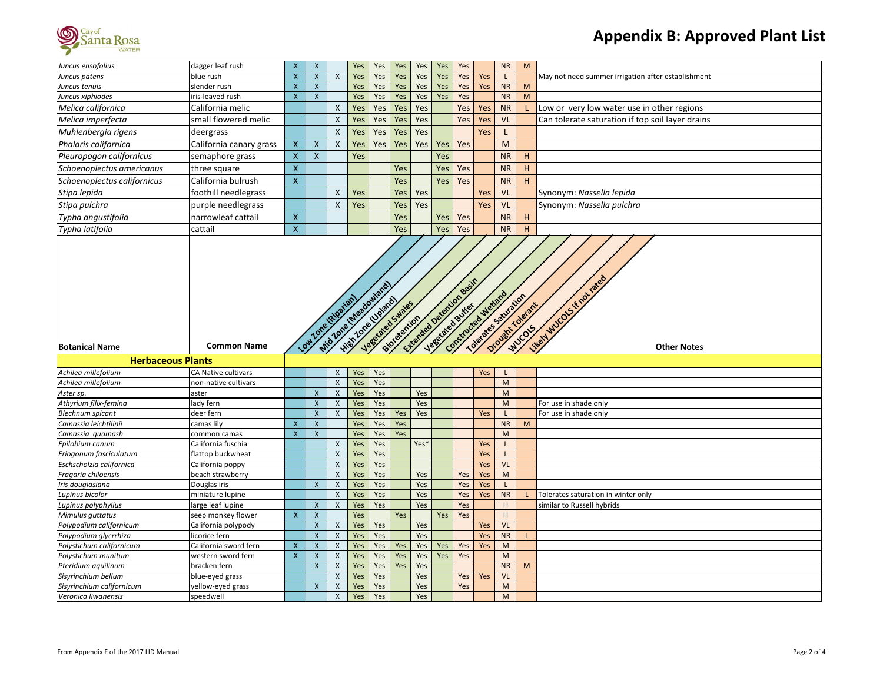

| Juncus ensofolius                                | dagger leaf rush               | $\boldsymbol{X}$          | $\mathsf{X}$              |                                           | Yes        | Yes                                      | Yes          | Yes                           | Yes | Yes                    |            | <b>NR</b>                                                                                                  | M           |                                                    |
|--------------------------------------------------|--------------------------------|---------------------------|---------------------------|-------------------------------------------|------------|------------------------------------------|--------------|-------------------------------|-----|------------------------|------------|------------------------------------------------------------------------------------------------------------|-------------|----------------------------------------------------|
| Juncus patens                                    | blue rush                      | $\mathsf{X}$              | $\mathsf X$               | $\pmb{\times}$                            | Yes        | Yes                                      | Yes          | Yes                           | Yes | Yes                    | Yes        | L                                                                                                          |             | May not need summer irrigation after establishment |
| Juncus tenuis                                    | slender rush                   | $\pmb{\mathsf{X}}$        | $\pmb{\mathsf{X}}$        |                                           | Yes        | Yes                                      | Yes          | Yes                           | Yes | Yes                    | Yes        | <b>NR</b>                                                                                                  | M           |                                                    |
| Juncus xiphiodes                                 | iris-leaved rush               | $\mathsf{x}$              | X                         |                                           | Yes        | Yes                                      | Yes          | Yes                           | Yes | Yes                    |            | <b>NR</b>                                                                                                  | M           |                                                    |
| Melica californica                               | California melic               |                           |                           | X                                         | Yes        | Yes                                      | Yes          | Yes                           |     | Yes                    | Yes        | <b>NR</b>                                                                                                  |             | Low or very low water use in other regions         |
| Melica imperfecta                                | small flowered melic           |                           |                           | $\boldsymbol{\mathsf{X}}$                 | Yes        | Yes                                      | Yes          | Yes                           |     | Yes                    | Yes        | <b>VL</b>                                                                                                  |             | Can tolerate saturation if top soil layer drains   |
| Muhlenbergia rigens                              | deergrass                      |                           |                           | X                                         | Yes        | Yes                                      | Yes          | Yes                           |     |                        | Yes        | $\mathsf{L}$                                                                                               |             |                                                    |
| Phalaris californica                             | California canary grass        | $\mathsf{X}$              | $\boldsymbol{\mathsf{X}}$ | X                                         | Yes        | Yes                                      | Yes          | Yes                           | Yes | Yes                    |            | M                                                                                                          |             |                                                    |
| Pleuropogon californicus                         | semaphore grass                | $\mathsf{X}$              | $\mathsf{x}$              |                                           | Yes        |                                          |              |                               | Yes |                        |            | <b>NR</b>                                                                                                  | H           |                                                    |
| Schoenoplectus americanus                        | three square                   | $\boldsymbol{\mathsf{X}}$ |                           |                                           |            |                                          | Yes          |                               | Yes | Yes                    |            | <b>NR</b>                                                                                                  | H           |                                                    |
| Schoenoplectus californicus                      | California bulrush             | $\boldsymbol{X}$          |                           |                                           |            |                                          | Yes          |                               | Yes | Yes                    |            | <b>NR</b>                                                                                                  | $\mathsf H$ |                                                    |
| Stipa lepida                                     | foothill needlegrass           |                           |                           | X                                         | Yes        |                                          | Yes          | Yes                           |     |                        | Yes        | <b>VL</b>                                                                                                  |             | Synonym: Nassella lepida                           |
| Stipa pulchra                                    | purple needlegrass             |                           |                           | $\mathsf{x}$                              | Yes        |                                          | Yes          | Yes                           |     |                        | Yes        | <b>VL</b>                                                                                                  |             | Synonym: Nassella pulchra                          |
| Typha angustifolia                               | narrowleaf cattail             | $\mathsf{X}$              |                           |                                           |            |                                          | Yes          |                               | Yes | Yes                    |            | <b>NR</b>                                                                                                  | H           |                                                    |
| Typha latifolia                                  | cattail                        | $\mathsf{x}$              |                           |                                           |            |                                          | Yes          |                               | Yes | Yes                    |            | <b>NR</b>                                                                                                  | H           |                                                    |
|                                                  |                                |                           |                           |                                           |            | Mid Lone (Westland and                   |              | <b>Literated Developments</b> |     |                        |            |                                                                                                            |             | Well WLOCK if not rates                            |
| <b>Botanical Name</b>                            | <b>Common Name</b>             |                           |                           |                                           |            |                                          |              |                               |     |                        |            |                                                                                                            |             | <b>Other Notes</b>                                 |
| <b>Herbaceous Plants</b>                         |                                |                           | Low Zone (digatan)        |                                           |            | High Tore University<br>Vegensted Swater | side retries |                               |     | Construction Metapolis |            | TORIZED SAMPLES<br>Orought Tolerant                                                                        |             |                                                    |
| Achilea millefolium                              | CA Native cultivars            |                           |                           | $\mathsf{X}$                              | Yes        | Yes                                      |              |                               |     |                        | <b>Yes</b> |                                                                                                            |             |                                                    |
| Achilea millefolium                              | non-native cultivars           |                           |                           | $\pmb{\times}$                            | Yes        | Yes                                      |              |                               |     |                        |            | $\mathsf{M}% _{T}=\mathsf{M}_{T}\!\left( a,b\right) ,\ \mathsf{M}_{T}=\mathsf{M}_{T}\!\left( a,b\right) ,$ |             |                                                    |
| Aster sp.                                        | aster                          |                           | $\boldsymbol{\mathsf{x}}$ | $\pmb{\times}$                            | Yes        | Yes                                      |              | Yes                           |     |                        |            | M                                                                                                          |             |                                                    |
| Athyrium filix-femina                            | lady fern                      |                           | $\boldsymbol{\mathsf{x}}$ | $\boldsymbol{\mathsf{X}}$                 | Yes        | Yes                                      |              | Yes                           |     |                        |            | M                                                                                                          |             | For use in shade only                              |
| <b>Blechnum</b> spicant                          | deer fern                      |                           | $\mathsf{x}$              | $\pmb{\times}$                            | Yes        | Yes                                      | Yes          | Yes                           |     |                        | Yes        |                                                                                                            |             | For use in shade only                              |
| Camassia leichtilinii                            | camas lily                     | $\boldsymbol{\mathsf{x}}$ | $\pmb{\mathsf{X}}$        |                                           | Yes        | Yes                                      | Yes          |                               |     |                        |            | <b>NR</b>                                                                                                  | M           |                                                    |
| Camassia quamash                                 | common camas                   | $\overline{\mathsf{x}}$   | $\mathsf{x}$              |                                           | Yes        | Yes                                      | Yes          |                               |     |                        |            | M                                                                                                          |             |                                                    |
| Epilobium canum                                  | California fuschia             |                           |                           | X                                         | Yes        | Yes                                      |              | Yes*                          |     |                        | Yes        | L                                                                                                          |             |                                                    |
| Eriogonum fasciculatum                           | flattop buckwheat              |                           |                           | $\pmb{\times}$                            | Yes        | Yes                                      |              |                               |     |                        | Yes        | $\mathsf{L}$                                                                                               |             |                                                    |
| Eschscholzia californica                         | California poppy               |                           |                           | $\pmb{\times}$                            | Yes        | Yes                                      |              |                               |     |                        | Yes        | <b>VL</b>                                                                                                  |             |                                                    |
| Fragaria chiloensis                              | beach strawberry               |                           |                           | $\boldsymbol{\mathsf{X}}$                 | Yes        | Yes                                      |              | Yes                           |     | Yes                    | Yes        | M                                                                                                          |             |                                                    |
| Iris douglasiana                                 | Douglas iris                   |                           | $\boldsymbol{\mathsf{x}}$ | $\pmb{\times}$                            | Yes        | Yes                                      |              | Yes                           |     | Yes                    | Yes        | $\mathsf{L}$                                                                                               |             |                                                    |
| Lupinus bicolor                                  | miniature lupine               |                           |                           | $\pmb{\times}$                            | Yes        | Yes                                      |              | Yes                           |     | Yes                    | Yes        | <b>NR</b>                                                                                                  |             | Tolerates saturation in winter only                |
| Lupinus polyphyllus                              | large leaf lupine              |                           | $\pmb{\mathsf{X}}$        | $\pmb{\times}$                            | Yes        | Yes                                      |              | Yes                           |     | Yes                    |            | H                                                                                                          |             | similar to Russell hybrids                         |
| Mimulus guttatus                                 | seep monkey flower             | $\boldsymbol{\mathsf{X}}$ | $\pmb{\mathsf{X}}$        |                                           | Yes        |                                          | Yes          |                               | Yes | Yes                    |            | H                                                                                                          |             |                                                    |
| Polypodium californicum                          | California polypody            |                           | $\mathsf{x}$              | $\boldsymbol{\mathsf{X}}$                 | Yes        | Yes                                      |              | Yes                           |     |                        | Yes        | <b>VL</b>                                                                                                  |             |                                                    |
| Polypodium glycrrhiza                            | licorice fern                  |                           | $\mathsf{x}$              | $\pmb{\times}$                            | Yes        | Yes                                      |              | Yes                           |     |                        | Yes        | <b>NR</b>                                                                                                  | L           |                                                    |
| Polystichum californicum                         | California sword fern          | $\mathsf{X}$              | $\pmb{\mathsf{X}}$        | $\pmb{\times}$                            | Yes        | Yes                                      | Yes          | Yes                           | Yes | Yes                    | Yes        | ${\sf M}$                                                                                                  |             |                                                    |
| Polystichum munitum                              | western sword fern             | $\boldsymbol{\mathsf{X}}$ | $\mathsf{x}$              | $\pmb{\times}$                            | Yes        | Yes                                      | Yes          | Yes                           | Yes | Yes                    |            | M                                                                                                          |             |                                                    |
| Pteridium aquilinum                              | bracken fern                   |                           | X                         | $\pmb{\times}$                            | Yes        | Yes                                      | Yes          | Yes                           |     |                        |            | <b>NR</b>                                                                                                  | M           |                                                    |
| Sisyrinchium bellum                              | blue-eyed grass                |                           |                           | $\pmb{\times}$                            | Yes        | Yes                                      |              | Yes                           |     | Yes                    | Yes        | VL                                                                                                         |             |                                                    |
| Sisyrinchium californicum<br>Veronica liwanensis | yellow-eyed grass<br>speedwell |                           | $\mathsf{x}$              | $\boldsymbol{\mathsf{X}}$<br>$\mathsf{x}$ | Yes<br>Yes | Yes<br>Yes                               |              | Yes<br>Yes                    |     | Yes                    |            | M<br>M                                                                                                     |             |                                                    |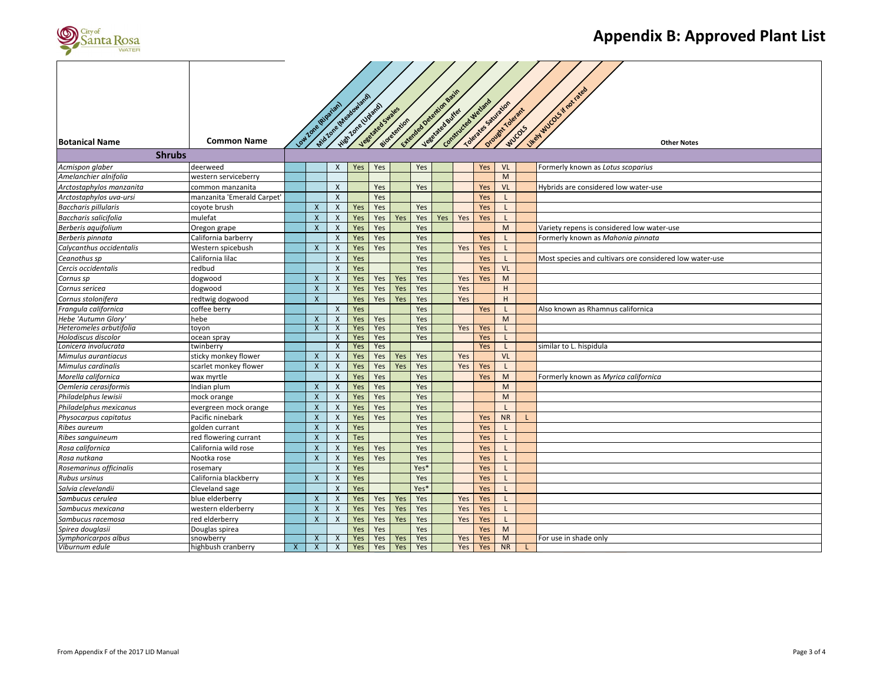

| <b>Botanical Name</b>       | <b>Common Name</b>         |   | Low Zone (Hipakan)        |                           | Mito John et presidentialist<br>High Love Uparel | Vegetated Swates | siorgrention |      | C.techedoge of charge Road<br>Jese d'ates exitet | Constructed Wedgerd |     | Tolerates Sauraicon<br>Orowit Tolerant | WUCOLS | livery wood f rat rates<br><b>Other Notes</b>           |
|-----------------------------|----------------------------|---|---------------------------|---------------------------|--------------------------------------------------|------------------|--------------|------|--------------------------------------------------|---------------------|-----|----------------------------------------|--------|---------------------------------------------------------|
|                             |                            |   |                           |                           |                                                  |                  |              |      |                                                  |                     |     |                                        |        |                                                         |
| <b>Shrubs</b>               |                            |   |                           |                           |                                                  |                  |              |      |                                                  |                     |     |                                        |        |                                                         |
| Acmispon glaber             | deerweed                   |   |                           | $\mathsf{X}$              | Yes                                              | Yes              |              | Yes  |                                                  |                     | Yes | <b>VL</b>                              |        | Formerly known as Lotus scoparius                       |
| Amelanchier alnifolia       | western serviceberry       |   |                           |                           |                                                  |                  |              |      |                                                  |                     |     | M                                      |        |                                                         |
| Arctostaphylos manzanita    | common manzanita           |   |                           | $\mathsf{X}$              |                                                  | Yes              |              | Yes  |                                                  |                     | Yes | <b>VL</b>                              |        | Hybrids are considered low water-use                    |
| Arctostaphylos uva-ursi     | manzanita 'Emerald Carpet' |   |                           | $\mathsf{X}$              |                                                  | Yes              |              |      |                                                  |                     | Yes |                                        |        |                                                         |
| <b>Baccharis pillularis</b> | coyote brush               |   | $\mathsf{x}$              | $\mathsf{X}$              | Yes                                              | Yes              |              | Yes  |                                                  |                     | Yes | $\mathsf{L}$                           |        |                                                         |
| Baccharis salicifolia       | mulefat                    |   | $\boldsymbol{\mathsf{x}}$ | $\pmb{\times}$            | Yes                                              | Yes              | Yes          | Yes  | Yes                                              | Yes                 | Yes |                                        |        |                                                         |
| Berberis aquifolium         | Oregon grape               |   | $\boldsymbol{\mathsf{x}}$ | $\boldsymbol{\mathsf{X}}$ | Yes                                              | Yes              |              | Yes  |                                                  |                     |     | M                                      |        | Variety repens is considered low water-use              |
| Berberis pinnata            | California barberry        |   |                           | $\pmb{\times}$            | Yes                                              | Yes              |              | Yes  |                                                  |                     | Yes |                                        |        | Formerly known as Mahonia pinnata                       |
| Calycanthus occidentalis    | Western spicebush          |   | $\mathsf{x}$              | $\pmb{\times}$            | Yes                                              | Yes              |              | Yes  |                                                  | Yes                 | Yes |                                        |        |                                                         |
| Ceanothus sp                | California lilac           |   |                           | $\boldsymbol{X}$          | Yes                                              |                  |              | Yes  |                                                  |                     | Yes |                                        |        | Most species and cultivars ore considered low water-use |
| Cercis occidentalis         | redbud                     |   |                           | $\boldsymbol{\mathsf{X}}$ | Yes                                              |                  |              | Yes  |                                                  |                     | Yes | <b>VL</b>                              |        |                                                         |
| Cornus sp                   | dogwood                    |   | $\mathsf{x}$              | $\boldsymbol{\mathsf{X}}$ | Yes                                              | Yes              | Yes          | Yes  |                                                  | Yes                 | Yes | M                                      |        |                                                         |
| Cornus sericea              | dogwood                    |   | $\mathsf{x}$              | $\boldsymbol{\mathsf{X}}$ | Yes                                              | Yes              | Yes          | Yes  |                                                  | Yes                 |     | H                                      |        |                                                         |
| Cornus stolonifera          | redtwig dogwood            |   | $\mathsf{x}$              |                           | Yes                                              | Yes              | Yes          | Yes  |                                                  | Yes                 |     | H                                      |        |                                                         |
| Frangula californica        | coffee berry               |   |                           | $\mathsf{X}$              | Yes                                              |                  |              | Yes  |                                                  |                     | Yes |                                        |        | Also known as Rhamnus californica                       |
| Hebe 'Autumn Glory'         | hebe                       |   | $\mathsf{x}$              | $\pmb{\times}$            | Yes                                              | Yes              |              | Yes  |                                                  |                     |     | M                                      |        |                                                         |
| Heteromeles arbutifolia     | toyon                      |   | $\boldsymbol{\mathsf{x}}$ | X                         | Yes                                              | Yes              |              | Yes  |                                                  | Yes                 | Yes | L                                      |        |                                                         |
| Holodiscus discolor         | ocean spray                |   |                           | X                         | Yes                                              | Yes              |              | Yes  |                                                  |                     | Yes |                                        |        |                                                         |
| Lonicera involucrata        | twinberry                  |   |                           | $\boldsymbol{\mathsf{X}}$ | Yes                                              | Yes              |              |      |                                                  |                     | Yes |                                        |        | similar to L. hispidula                                 |
| Mimulus aurantiacus         | sticky monkey flower       |   | $\boldsymbol{\mathsf{x}}$ | $\boldsymbol{\mathsf{X}}$ | Yes                                              | Yes              | Yes          | Yes  |                                                  | Yes                 |     | <b>VL</b>                              |        |                                                         |
| Mimulus cardinalis          | scarlet monkey flower      |   | $\mathsf{x}$              | $\boldsymbol{\mathsf{X}}$ | Yes                                              | Yes              | Yes          | Yes  |                                                  | Yes                 | Yes |                                        |        |                                                         |
| Morella californica         | wax myrtle                 |   |                           | $\boldsymbol{\mathsf{X}}$ | Yes                                              | Yes              |              | Yes  |                                                  |                     | Yes | M                                      |        | Formerly known as Myrica californica                    |
| Oemleria cerasiformis       | Indian plum                |   | $\mathsf{x}$              | $\boldsymbol{\mathsf{X}}$ | Yes                                              | Yes              |              | Yes  |                                                  |                     |     | M                                      |        |                                                         |
| Philadelphus lewisii        | mock orange                |   | $\mathsf{x}$              | $\boldsymbol{\mathsf{X}}$ | Yes                                              | Yes              |              | Yes  |                                                  |                     |     | M                                      |        |                                                         |
| Philadelphus mexicanus      | evergreen mock orange      |   | $\mathsf{x}$              | $\boldsymbol{X}$          | Yes                                              | Yes              |              | Yes  |                                                  |                     |     |                                        |        |                                                         |
| Physocarpus capitatus       | Pacific ninebark           |   | $\mathsf{x}$              | $\boldsymbol{\mathsf{X}}$ | Yes                                              | Yes              |              | Yes  |                                                  |                     | Yes | <b>NR</b>                              | T.     |                                                         |
| Ribes aureum                | golden currant             |   | $\mathsf{x}$              | $\mathsf{X}$              | Yes                                              |                  |              | Yes  |                                                  |                     | Yes | L                                      |        |                                                         |
| Ribes sanguineum            | red flowering currant      |   | $\pmb{\times}$            | $\pmb{\times}$            | Tes                                              |                  |              | Yes  |                                                  |                     | Yes | L.                                     |        |                                                         |
| Rosa californica            | California wild rose       |   | $\boldsymbol{\mathsf{x}}$ | $\boldsymbol{\mathsf{X}}$ | Yes                                              | Yes              |              | Yes  |                                                  |                     | Yes | L                                      |        |                                                         |
| Rosa nutkana                | Nootka rose                |   | $\boldsymbol{\mathsf{x}}$ | $\boldsymbol{\mathsf{x}}$ | Yes                                              | Yes              |              | Yes  |                                                  |                     | Yes | $\mathsf{L}$                           |        |                                                         |
| Rosemarinus officinalis     | rosemary                   |   |                           | $\boldsymbol{\mathsf{X}}$ | Yes                                              |                  |              | Yes* |                                                  |                     | Yes | $\mathsf{L}$                           |        |                                                         |
| <b>Rubus ursinus</b>        | California blackberry      |   | $\mathsf{x}$              | $\boldsymbol{\mathsf{x}}$ | Yes                                              |                  |              | Yes  |                                                  |                     | Yes | L                                      |        |                                                         |
| Salvia clevelandii          | Cleveland sage             |   |                           | $\boldsymbol{X}$          | Yes                                              |                  |              | Yes* |                                                  |                     | Yes |                                        |        |                                                         |
| Sambucus cerulea            | blue elderberry            |   | $\mathsf{X}$              | $\boldsymbol{\mathsf{X}}$ | Yes                                              | Yes              | Yes          | Yes  |                                                  | Yes                 | Yes |                                        |        |                                                         |
| Sambucus mexicana           | western elderberry         |   | $\mathsf{x}$              | $\boldsymbol{X}$          | Yes                                              | Yes              | Yes          | Yes  |                                                  | Yes                 | Yes | L                                      |        |                                                         |
| Sambucus racemosa           | red elderberry             |   | $\mathsf{x}$              | $\boldsymbol{\mathsf{X}}$ | Yes                                              | Yes              | Yes          | Yes  |                                                  | Yes                 | Yes |                                        |        |                                                         |
| Spirea douglasii            | Douglas spirea             |   |                           |                           | Yes                                              | Yes              |              | Yes  |                                                  |                     | Yes | M                                      |        |                                                         |
| Symphoricarpos albus        | snowberry                  |   | $\boldsymbol{X}$          | X                         | Yes                                              | Yes              | Yes          | Yes  |                                                  | Yes                 | Yes | M                                      |        | For use in shade only                                   |
| Viburnum edule              | highbush cranberry         | X | X                         | X                         | Yes                                              | Yes              | Yes          | Yes  |                                                  | Yes                 | Yes | <b>NR</b>                              |        |                                                         |